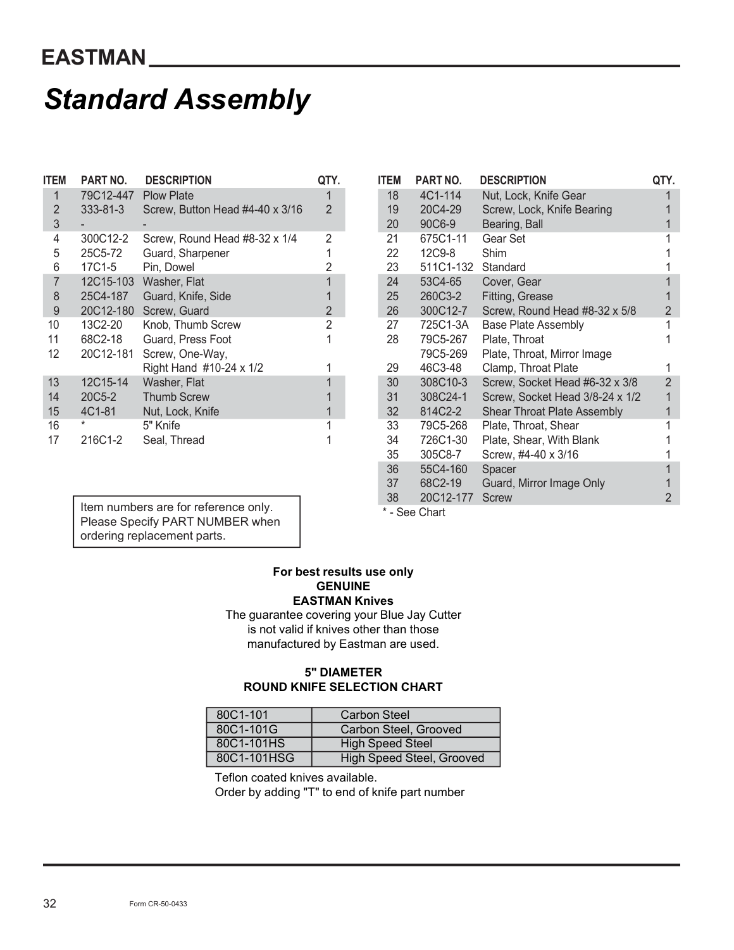## Standard Assembly

|                | <b>EASTMAN</b>       |                                   |                     |             |                      |                                 |  |  |  |  |  |  |
|----------------|----------------------|-----------------------------------|---------------------|-------------|----------------------|---------------------------------|--|--|--|--|--|--|
|                |                      | <b>Standard Assembly</b>          |                     |             |                      |                                 |  |  |  |  |  |  |
| <b>ITEM</b>    | PART NO.             | <b>DESCRIPTION</b>                | QTY.                | <b>ITEM</b> | PART NO.             | <b>DESCRIPTIO</b>               |  |  |  |  |  |  |
| $\mathbf{1}$   | 79C12-447            | <b>Plow Plate</b>                 | 1                   | 18          | 4C1-114              | Nut, Lock, I                    |  |  |  |  |  |  |
| $\overline{c}$ | 333-81-3             | Screw, Button Head #4-40 x 3/16   | $\overline{2}$      | 19          | 20C4-29              | Screw, Loc                      |  |  |  |  |  |  |
| $\sqrt{3}$     |                      |                                   |                     | 20          | 90C6-9               | Bearing, Ba                     |  |  |  |  |  |  |
| $\overline{4}$ | 300C12-2             | Screw, Round Head #8-32 x 1/4     | 2                   | 21          | 675C1-11             | Gear Set                        |  |  |  |  |  |  |
| 5              | 25C5-72              | Guard, Sharpener                  | 1                   | 22          | 12C9-8               | Shim                            |  |  |  |  |  |  |
| $\,6$          | 17C1-5               | Pin, Dowel                        | $\overline{2}$      | 23          | 511C1-132            | Standard                        |  |  |  |  |  |  |
| $\overline{7}$ |                      | 12C15-103 Washer, Flat            | $\mathbf{1}$        | 24          | 53C4-65              | Cover, Gea                      |  |  |  |  |  |  |
| $\,8\,$        | 25C4-187             | Guard, Knife, Side                | 1<br>$\overline{2}$ | 25          | 260C3-2              | Fitting, Gre                    |  |  |  |  |  |  |
| 9<br>10        | 20C12-180<br>13C2-20 | Screw, Guard<br>Knob, Thumb Screw | $\overline{2}$      | 26<br>27    | 300C12-7<br>725C1-3A | Screw, Rou<br><b>Base Plate</b> |  |  |  |  |  |  |
| 11             | 68C2-18              | Guard, Press Foot                 | 1                   | 28          | 79C5-267             | Plate, Thro                     |  |  |  |  |  |  |
| 12             | 20C12-181            | Screw, One-Way,                   |                     |             | 79C5-269             | Plate, Thro                     |  |  |  |  |  |  |
|                |                      | Right Hand #10-24 x 1/2           | 1                   | 29          | 46C3-48              | Clamp, Thr                      |  |  |  |  |  |  |
| 13             | 12C15-14             | Washer, Flat                      | $\mathbf{1}$        | 30          | 308C10-3             | Screw, Soc                      |  |  |  |  |  |  |
| 14             | 20C5-2               | <b>Thumb Screw</b>                | 1                   | 31          | 308C24-1             | Screw, Soc                      |  |  |  |  |  |  |
| 15             | 4C1-81               | Nut, Lock, Knife                  | $\mathbf{1}$        | 32          | 814C2-2              | <b>Shear Thro</b>               |  |  |  |  |  |  |
| 16             | *                    | 5" Knife                          | 1                   | 33          | 79C5-268             | Plate, Thro                     |  |  |  |  |  |  |
| 17             | 216C1-2              | Seal, Thread                      | 1                   | 34          | 726C1-30             | Plate, Shea                     |  |  |  |  |  |  |
|                |                      |                                   |                     | 35          | 305C8-7              | Screw, $#4-4$                   |  |  |  |  |  |  |
|                |                      |                                   |                     | 36          | 55C4-160             | Spacer                          |  |  |  |  |  |  |

|                                  | EASTMAN                         |                                                      |                       |                                                    |                              |                                                                      |                |
|----------------------------------|---------------------------------|------------------------------------------------------|-----------------------|----------------------------------------------------|------------------------------|----------------------------------------------------------------------|----------------|
|                                  |                                 | <b>Standard Assembly</b>                             |                       |                                                    |                              |                                                                      |                |
| <b>ITEM</b>                      | <b>PART NO.</b>                 | <b>DESCRIPTION</b>                                   | QTY.                  | <b>ITEM</b>                                        | PART NO.                     | <b>DESCRIPTION</b>                                                   | QTY.           |
| $\overline{2}$<br>$\mathfrak{Z}$ | 79C12-447<br>333-81-3<br>$\sim$ | <b>Plow Plate</b><br>Screw, Button Head #4-40 x 3/16 | $\overline{2}$        | 18<br>19<br>20                                     | 4C1-114<br>20C4-29<br>90C6-9 | Nut, Lock, Knife Gear<br>Screw, Lock, Knife Bearing<br>Bearing, Ball |                |
| 4                                | 300C12-2                        | Screw, Round Head #8-32 x 1/4                        | $\mathbf{2}^{\prime}$ | 21                                                 | 675C1-11                     | Gear Set                                                             |                |
| 5                                | 25C5-72                         | Guard, Sharpener                                     |                       | 22                                                 | 12C9-8                       | Shim                                                                 |                |
| 6                                | 17C1-5                          | Pin, Dowel                                           | 2                     | 23                                                 | 511C1-132 Standard           |                                                                      |                |
| 7                                | 12C15-103                       | Washer, Flat                                         |                       | 24                                                 | 53C4-65                      | Cover, Gear                                                          |                |
| 8                                | 25C4-187                        | Guard, Knife, Side                                   |                       | 25                                                 | 260C3-2                      | Fitting, Grease                                                      |                |
| 9                                |                                 | 20C12-180 Screw, Guard                               | $\overline{2}$        | 26                                                 | 300C12-7                     | Screw, Round Head #8-32 x 5/8                                        | $\overline{2}$ |
| 10                               | 13C2-20                         | Knob, Thumb Screw                                    | 2                     | 27                                                 | 725C1-3A                     | <b>Base Plate Assembly</b>                                           |                |
| 11                               | 68C2-18                         | Guard, Press Foot                                    |                       | 28                                                 | 79C5-267                     | Plate, Throat                                                        |                |
| 12                               |                                 | 20C12-181 Screw, One-Way,                            |                       |                                                    | 79C5-269                     | Plate, Throat, Mirror Image                                          |                |
|                                  |                                 | Right Hand #10-24 x 1/2                              |                       | 29                                                 | 46C3-48                      | Clamp, Throat Plate                                                  |                |
| 13                               | 12C15-14                        | Washer, Flat                                         |                       | 30                                                 | 308C10-3                     | Screw, Socket Head #6-32 x 3/8                                       | $\overline{2}$ |
| 14                               | 20C5-2                          | <b>Thumb Screw</b>                                   |                       | 31                                                 | 308C24-1                     | Screw, Socket Head 3/8-24 x 1/2                                      | $\mathbf{1}$   |
| 15                               | 4C1-81<br>$\star$               | Nut, Lock, Knife                                     |                       | 32                                                 | 814C2-2                      | Shear Throat Plate Assembly                                          |                |
| 16<br>17                         | 216C1-2                         | 5" Knife                                             |                       | 33<br>34                                           | 79C5-268<br>726C1-30         | Plate, Throat, Shear                                                 |                |
|                                  |                                 | Seal, Thread                                         |                       | 35                                                 | 305C8-7                      | Plate, Shear, With Blank<br>Screw, #4-40 x 3/16                      |                |
|                                  |                                 |                                                      |                       | 36                                                 | 55C4-160                     | Spacer                                                               | 1              |
|                                  |                                 |                                                      |                       | 37                                                 | 68C2-19                      | Guard, Mirror Image Only                                             | $\mathbf{1}$   |
|                                  |                                 |                                                      |                       | 38                                                 | 20C12-177 Screw              |                                                                      | $\overline{2}$ |
|                                  |                                 | Item numbers are for reference only.                 |                       |                                                    | * - See Chart                |                                                                      |                |
|                                  |                                 | Please Specify PART NUMBER when                      |                       |                                                    |                              |                                                                      |                |
|                                  |                                 | ordering replacement parts.                          |                       |                                                    |                              |                                                                      |                |
|                                  |                                 | The guarantee covering your Blue Jay Cutter          | <b>GENUINE</b>        | For best results use only<br><b>EASTMAN Knives</b> |                              |                                                                      |                |

## For best results use only **GENUINE** EASTMAN Knives

The guarantee covering your Blue Jay Cutter is not valid if knives other than those manufactured by Eastman are used.

## 5" DIAMETER ROUND KNIFE SELECTION CHART

| 80C1-101    | <b>Carbon Steel</b>       |
|-------------|---------------------------|
| 80C1-101G   | Carbon Steel, Grooved     |
| 80C1-101HS  | <b>High Speed Steel</b>   |
| 80C1-101HSG | High Speed Steel, Grooved |

Teflon coated knives available.

Order by adding "T" to end of knife part number